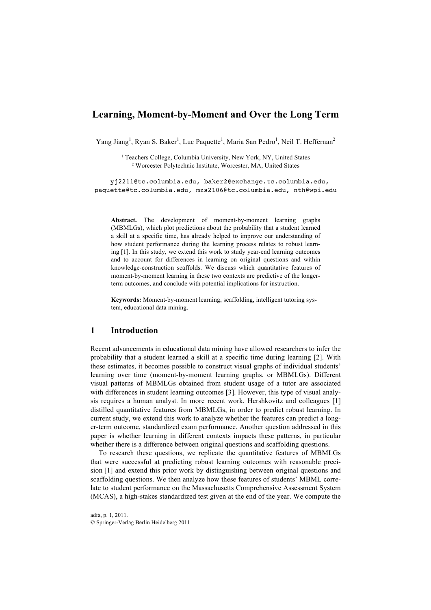# **Learning, Moment-by-Moment and Over the Long Term**

Yang Jiang<sup>1</sup>, Ryan S. Baker<sup>1</sup>, Luc Paquette<sup>1</sup>, Maria San Pedro<sup>1</sup>, Neil T. Heffernan<sup>2</sup>

<sup>1</sup> Teachers College, Columbia University, New York, NY, United States <sup>2</sup> Worcester Polytechnic Institute, Worcester, MA, United States

yj2211@tc.columbia.edu, baker2@exchange.tc.columbia.edu, paquette@tc.columbia.edu, mzs2106@tc.columbia.edu, nth@wpi.edu

**Abstract.** The development of moment-by-moment learning graphs (MBMLGs), which plot predictions about the probability that a student learned a skill at a specific time, has already helped to improve our understanding of how student performance during the learning process relates to robust learning [1]. In this study, we extend this work to study year-end learning outcomes and to account for differences in learning on original questions and within knowledge-construction scaffolds. We discuss which quantitative features of moment-by-moment learning in these two contexts are predictive of the longerterm outcomes, and conclude with potential implications for instruction.

**Keywords:** Moment-by-moment learning, scaffolding, intelligent tutoring system, educational data mining.

#### **1 Introduction**

Recent advancements in educational data mining have allowed researchers to infer the probability that a student learned a skill at a specific time during learning [2]. With these estimates, it becomes possible to construct visual graphs of individual students' learning over time (moment-by-moment learning graphs, or MBMLGs). Different visual patterns of MBMLGs obtained from student usage of a tutor are associated with differences in student learning outcomes [3]. However, this type of visual analysis requires a human analyst. In more recent work, Hershkovitz and colleagues [1] distilled quantitative features from MBMLGs, in order to predict robust learning. In current study, we extend this work to analyze whether the features can predict a longer-term outcome, standardized exam performance. Another question addressed in this paper is whether learning in different contexts impacts these patterns, in particular whether there is a difference between original questions and scaffolding questions.

To research these questions, we replicate the quantitative features of MBMLGs that were successful at predicting robust learning outcomes with reasonable precision [1] and extend this prior work by distinguishing between original questions and scaffolding questions. We then analyze how these features of students' MBML correlate to student performance on the Massachusetts Comprehensive Assessment System (MCAS), a high-stakes standardized test given at the end of the year. We compute the

adfa, p. 1, 2011. © Springer-Verlag Berlin Heidelberg 2011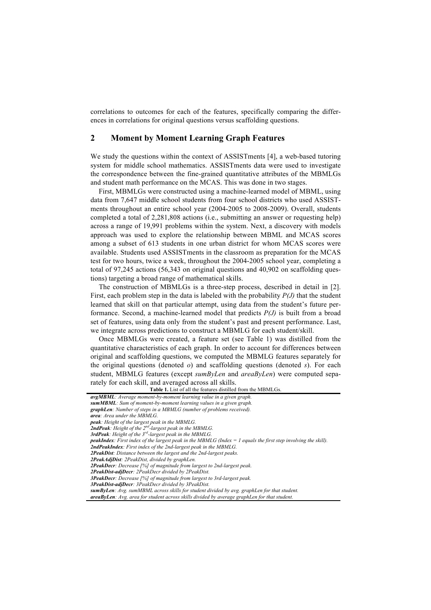correlations to outcomes for each of the features, specifically comparing the differences in correlations for original questions versus scaffolding questions.

## **2 Moment by Moment Learning Graph Features**

We study the questions within the context of ASSISTments [4], a web-based tutoring system for middle school mathematics. ASSISTments data were used to investigate the correspondence between the fine-grained quantitative attributes of the MBMLGs and student math performance on the MCAS. This was done in two stages.

First, MBMLGs were constructed using a machine-learned model of MBML, using data from 7,647 middle school students from four school districts who used ASSISTments throughout an entire school year (2004-2005 to 2008-2009). Overall, students completed a total of 2,281,808 actions (i.e., submitting an answer or requesting help) across a range of 19,991 problems within the system. Next, a discovery with models approach was used to explore the relationship between MBML and MCAS scores among a subset of 613 students in one urban district for whom MCAS scores were available. Students used ASSISTments in the classroom as preparation for the MCAS test for two hours, twice a week, throughout the 2004-2005 school year, completing a total of 97,245 actions (56,343 on original questions and 40,902 on scaffolding questions) targeting a broad range of mathematical skills.

The construction of MBMLGs is a three-step process, described in detail in [2]. First, each problem step in the data is labeled with the probability *P(J)* that the student learned that skill on that particular attempt, using data from the student's future performance. Second, a machine-learned model that predicts *P(J)* is built from a broad set of features, using data only from the student's past and present performance. Last, we integrate across predictions to construct a MBMLG for each student/skill.

Once MBMLGs were created, a feature set (see Table 1) was distilled from the quantitative characteristics of each graph. In order to account for differences between original and scaffolding questions, we computed the MBMLG features separately for the original questions (denoted *o*) and scaffolding questions (denoted *s*). For each student, MBMLG features (except *sumByLen* and *areaByLen*) were computed separately for each skill, and averaged across all skills.

**Table 1.** List of all the features distilled from the MBMLGs.

*avgMBML: Average moment-by-moment learning value in a given graph. sumMBML: Sum of moment-by-moment learning values in a given graph. graphLen: Number of steps in a MBMLG (number of problems received). area: Area under the MBMLG. peak: Height of the largest peak in the MBMLG. 2ndPeak: Height of the 2nd-largest peak in the MBMLG. 3rdPeak: Height of the 3rd-largest peak in the MBMLG. peakIndex: First index of the largest peak in the MBMLG (Index = 1 equals the first step involving the skill). 2ndPeakIndex: First index of the 2nd-largest peak in the MBMLG. 2PeakDist: Distance between the largest and the 2nd-largest peaks. 2PeakAdjDist: 2PeakDist, divided by graphLen. 2PeakDecr: Decrease [%] of magnitude from largest to 2nd-largest peak. 2PeakDist-adjDecr: 2PeakDecr divided by 2PeakDist. 3PeakDecr: Decrease [%] of magnitude from largest to 3rd-largest peak. 3PeakDist-adjDecr: 3PeakDecr divided by 3PeakDist. sumByLen: Avg. sumMBML across skills for student divided by avg. graphLen for that student. areaByLen: Avg. area for student across skills divided by average graphLen for that student.*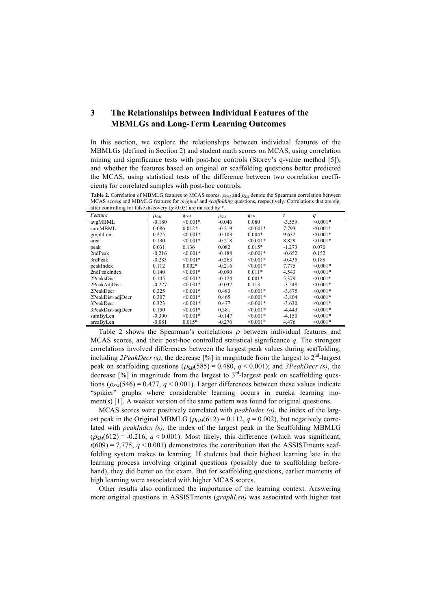## **3 The Relationships between Individual Features of the MBMLGs and Long-Term Learning Outcomes**

In this section, we explore the relationships between individual features of the MBMLGs (defined in Section 2) and student math scores on MCAS, using correlation mining and significance tests with post-hoc controls (Storey's q-value method [5]), and whether the features based on original or scaffolding questions better predicted the MCAS, using statistical tests of the difference between two correlation coefficients for correlated samples with post-hoc controls.

**Table 2.** Correlation of MBMLG features to MCAS scores.  $ρ<sub>OM</sub>$  and  $ρ<sub>SM</sub>$  denote the Spearman correlation between MCAS scores and MBMLG features for *original* and *scaffolding* questions, respectively. Correlations that are sig.<br>after controlling for false discovery ( $\alpha$ <0.05) are marked by \* avery  $(a<0.05)$  are marked by

| and complime for false discovery $(y > 0.00)$ are marked by |             |               |             |            |          |            |
|-------------------------------------------------------------|-------------|---------------|-------------|------------|----------|------------|
| Feature                                                     | $\rho_{OM}$ | $q_{OM}$      | $\rho_{SM}$ | $q_{SM}$   |          | q          |
| avgMBML                                                     | $-0.180$    | $< 0.001*$    | $-0.046$    | 0.080      | $-3.559$ | $< 0.001*$ |
| sumMBML                                                     | 0.086       | $0.012*$      | $-0.219$    | $< 0.001*$ | 7.793    | $< 0.001*$ |
| graphLen                                                    | 0.275       | $< 0.001*$    | $-0.103$    | $0.004*$   | 9.632    | $< 0.001*$ |
| area                                                        | 0.130       | $< 0.001*$    | $-0.218$    | $< 0.001*$ | 8.829    | $< 0.001*$ |
| peak                                                        | 0.031       | 0.136         | 0.082       | $0.015*$   | $-1.273$ | 0.070      |
| 2ndPeak                                                     | $-0.216$    | $< 0.001*$    | $-0.188$    | $<0.001*$  | $-0.652$ | 0.152      |
| 3rdPeak                                                     | $-0.283$    | $< 0.001*$    | $-0.263$    | $< 0.001*$ | $-0.435$ | 0.188      |
| peakIndex                                                   | 0.112       | $0.002*$      | $-0.216$    | $< 0.001*$ | 7.775    | $< 0.001*$ |
| 2ndPeakIndex                                                | 0.140       | $< 0.001*$    | $-0.090$    | $0.011*$   | 4.543    | $< 0.001*$ |
| 2PeaksDist                                                  | 0.145       | $< 0.001*$    | $-0.124$    | $0.001*$   | 5.379    | $< 0.001*$ |
| 2PeakAdjDist                                                | $-0.227$    | $\leq 0.001*$ | $-0.037$    | 0.113      | $-3.548$ | $< 0.001*$ |
| 2PeakDecr                                                   | 0.325       | $< 0.001*$    | 0.480       | $< 0.001*$ | $-3.875$ | $< 0.001*$ |
| 2PeakDist-adjDecr                                           | 0.307       | $< 0.001*$    | 0.465       | $< 0.001*$ | $-3.804$ | $< 0.001*$ |
| 3PeakDecr                                                   | 0.323       | $< 0.001*$    | 0.477       | $< 0.001*$ | $-3.630$ | $< 0.001*$ |
| 3PeakDist-adjDecr                                           | 0.150       | $< 0.001*$    | 0.381       | $< 0.001*$ | $-4.443$ | $< 0.001*$ |
| sumByLen                                                    | $-0.300$    | $< 0.001*$    | $-0.147$    | $< 0.001*$ | $-4.150$ | $< 0.001*$ |
| areaByLen                                                   | $-0.081$    | $0.015*$      | $-0.276$    | $< 0.001*$ | 4.476    | $< 0.001*$ |

Table 2 shows the Spearman's correlations  $\rho$  between individual features and MCAS scores, and their post-hoc controlled statistical significance *q*. The strongest correlations involved differences between the largest peak values during scaffolding, including *2PeakDecr(s)*, the decrease  $\lceil\% \rceil$  in magnitude from the largest to  $2^{nd}$ -largest peak on scaffolding questions  $(\rho_{SM}(585) = 0.480, q < 0.001)$ ; and *3PeakDecr (s)*, the decrease  $[%]$  in magnitude from the largest to  $3<sup>rd</sup>$ -largest peak on scaffolding questions  $(\rho_{SM}$ (546) = 0.477, *q* < 0.001). Larger differences between these values indicate "spikier" graphs where considerable learning occurs in eureka learning moment(s) [1]. A weaker version of the same pattern was found for original questions.

MCAS scores were positively correlated with *peakIndex (o)*, the index of the largest peak in the Original MBMLG ( $\rho_{OM}(612) = 0.112$ ,  $q = 0.002$ ), but negatively correlated with *peakIndex (s)*, the index of the largest peak in the Scaffolding MBMLG  $(\rho_{SM}(612) = -0.216, q \le 0.001)$ . Most likely, this difference (which was significant,  $t(609) = 7.775$ ,  $q < 0.001$ ) demonstrates the contribution that the ASSISTments scaffolding system makes to learning. If students had their highest learning late in the learning process involving original questions (possibly due to scaffolding beforehand), they did better on the exam. But for scaffolding questions, earlier moments of high learning were associated with higher MCAS scores.

Other results also confirmed the importance of the learning context. Answering more original questions in ASSISTments (*graphLen)* was associated with higher test